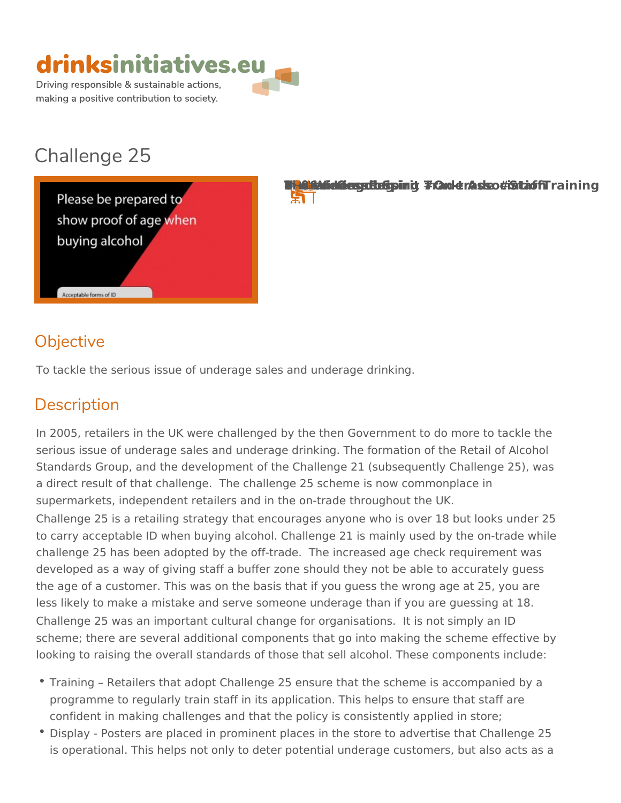

# Challenge 25



The Wind Wind Spirit Trade Association United Kingdom 2006 & One only the Manuform and the State of Trade #On-फ्रा

## Objective

To tackle the serious issue of underage sales and underage drinking.

## Description

In 2005, retailers in the UK were challenged by the then Government to do serious issue of underage sales and underage drinking. The formation of the Retail of Alcoholology Standards Group, and the development of the Challenge 21 (subsequently a direct result of that challenge. The challenge 25 scheme is now common supermarkets, independent retailers and in the on-trade throughout the UK. Challenge 25 is a retailing strategy that encourages anyone who is over 18 to carry acceptable ID when buying alcohol. Challenge 21 is mainly used b challenge 25 has been adopted by the off-trade. The increased age check developed as a way of giving staff a buffer zone should they not be able to the age of a customer. This was on the basis that if you guess the wrong a less likely to make a mistake and serve someone underage than if you are Challenge 25 was an important cultural change for organisations. It is not scheme; there are several additional components that go into making the s looking to raising the overall standards of those that sell alcohol. These c

- $\bullet$  Training  $\,$  Retailers that adopt Challenge 25 ensure that the scheme is a programme to regularly train staff in its application. This helps to ensure confident in making challenges and that the policy is consistently applie
- $\bullet$  Display Posters are placed in prominent places in the store to advertis is operational. This helps not only to deter potential underage customers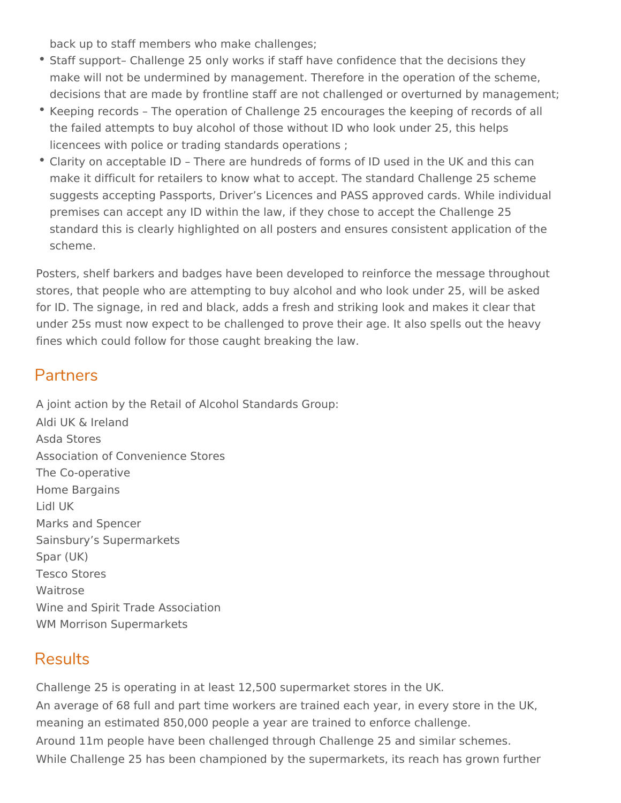back up to staff members who make challenges;

- Staff support– Challenge 25 only works if staff have confidence that the decisions they make will not be undermined by management. Therefore in the operation of the scheme, decisions that are made by frontline staff are not challenged or overturned by management;
- Keeping records The operation of Challenge 25 encourages the keeping of records of all the failed attempts to buy alcohol of those without ID who look under 25, this helps licencees with police or trading standards operations ;
- Clarity on acceptable ID There are hundreds of forms of ID used in the UK and this can make it difficult for retailers to know what to accept. The standard Challenge 25 scheme suggests accepting Passports, Driver's Licences and PASS approved cards. While individual premises can accept any ID within the law, if they chose to accept the Challenge 25 standard this is clearly highlighted on all posters and ensures consistent application of the scheme.

Posters, shelf barkers and badges have been developed to reinforce the message throughout stores, that people who are attempting to buy alcohol and who look under 25, will be asked for ID. The signage, in red and black, adds a fresh and striking look and makes it clear that under 25s must now expect to be challenged to prove their age. It also spells out the heavy fines which could follow for those caught breaking the law.

## Partners

A joint action by the Retail of Alcohol Standards Group: Aldi UK & Ireland Asda Stores Association of Convenience Stores The Co-operative Home Bargains Lidl UK Marks and Spencer Sainsbury's Supermarkets Spar (UK) Tesco Stores Waitrose Wine and Spirit Trade Association WM Morrison Supermarkets

## **Results**

Challenge 25 is operating in at least 12,500 supermarket stores in the UK. An average of 68 full and part time workers are trained each year, in every store in the UK, meaning an estimated 850,000 people a year are trained to enforce challenge. Around 11m people have been challenged through Challenge 25 and similar schemes. While Challenge 25 has been championed by the supermarkets, its reach has grown further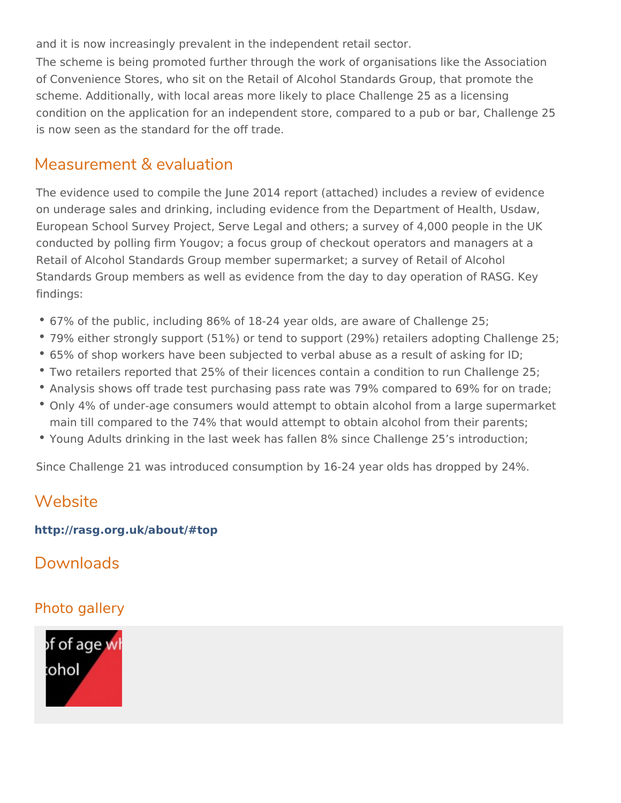and it is now increasingly prevalent in the independent retail sector. The scheme is being promoted further through the work of organisations li of Convenience Stores, who sit on the Retail of Alcohol Standards Group, scheme. Additionally, with local areas more likely to place Challenge 25 a condition on the application for an independent store, compared to a pub or is now seen as the standard for the off trade.

#### Measurement & evaluation

The evidence used to compile the June 2014 report (attached) includes a r on underage sales and drinking, including evidence from the Department o European School Survey Project, Serve Legal and others; a survey of 4,00 conducted by polling firm Yougov; a focus group of checkout operators and Retail of Alcohol Standards Group member supermarket; a survey of Retail Standards Group members as well as evidence from the day to day operation findings:

- 67% of the public, including 86% of 18–24 year olds, are aware of Challe
- 79% either strongly support (51%) or tend to support (29%) retailers ado
- $\degree$  65% of shop workers have been subjected to verbal abuse as a result of
- $\bullet$  Two retailers reported that 25% of their licences contain a condition to r
- Analysis shows off trade test purchasing pass rate was 79% compared to
- Only 4% of under-age consumers would attempt to obtain alcohol from a main till compared to the 74% that would attempt to obtain alcohol from  $\cdot$
- \* Young Adults drinking in the last week has fallen 8% since Challenge 25

Since Challenge 21 was introduced consumption by 16-24 year olds has dro

### Website

[http://rasg.org.uk/about](http://rasg.org.uk/about/#top)/#top

Downloads

#### Photo gallery